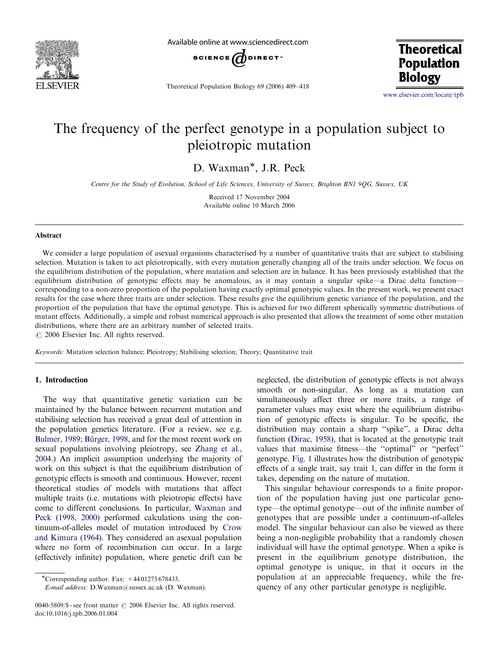

Available online at www.sciencedirect.com



Theoretical Population Biology 69 (2006) 409–418

**Theoretical Population Biology** 

<www.elsevier.com/locate/tpb>

# The frequency of the perfect genotype in a population subject to pleiotropic mutation

D. Waxman\*, J.R. Peck

Centre for the Study of Evolution, School of Life Sciences, University of Sussex, Brighton BN1 9QG, Sussex, UK

Received 17 November 2004 Available online 10 March 2006

#### Abstract

We consider a large population of asexual organisms characterised by a number of quantitative traits that are subject to stabilising selection. Mutation is taken to act pleiotropically, with every mutation generally changing all of the traits under selection. We focus on the equilibrium distribution of the population, where mutation and selection are in balance. It has been previously established that the equilibrium distribution of genotypic effects may be anomalous, as it may contain a singular spike—a Dirac delta function corresponding to a non-zero proportion of the population having exactly optimal genotypic values. In the present work, we present exact results for the case where three traits are under selection. These results give the equilibrium genetic variance of the population, and the proportion of the population that have the optimal genotype. This is achieved for two different spherically symmetric distributions of mutant effects. Additionally, a simple and robust numerical approach is also presented that allows the treatment of some other mutation distributions, where there are an arbitrary number of selected traits.

 $\odot$  2006 Elsevier Inc. All rights reserved.

Keywords: Mutation selection balance; Pleiotropy; Stabilising selection; Theory; Quantitative trait

# 1. Introduction

The way that quantitative genetic variation can be maintained by the balance between recurrent mutation and stabilising selection has received a great deal of attention in the population genetics literature. (For a review, see e.g. Bulmer, 1989; Bürger, 1998, and for the most recent work on sexual populations involving pleiotropy, see [Zhang et al.,](#page-9-0) [2004.](#page-9-0)) An implicit assumption underlying the majority of work on this subject is that the equilibrium distribution of genotypic effects is smooth and continuous. However, recent theoretical studies of models with mutations that affect multiple traits (i.e. mutations with pleiotropic effects) have come to different conclusions. In particular, [Waxman and](#page-9-0) [Peck \(1998, 2000\)](#page-9-0) performed calculations using the continuum-of-alleles model of mutation introduced by [Crow](#page-9-0) [and Kimura \(1964\)](#page-9-0). They considered an asexual population where no form of recombination can occur. In a large (effectively infinite) population, where genetic drift can be

\*Corresponding author. Fax:  $+4401273678433$ .

E-mail address: D.Waxman@sussex.ac.uk (D. Waxman).

0040-5809/\$ - see front matter  $\odot$  2006 Elsevier Inc. All rights reserved. doi:10.1016/j.tpb.2006.01.004

neglected, the distribution of genotypic effects is not always smooth or non-singular. As long as a mutation can simultaneously affect three or more traits, a range of parameter values may exist where the equilibrium distribution of genotypic effects is singular. To be specific, the distribution may contain a sharp ''spike'', a Dirac delta function ([Dirac, 1958\)](#page-9-0), that is located at the genotypic trait values that maximise fitness—the ''optimal'' or ''perfect'' genotype. [Fig. 1](#page-1-0) illustrates how the distribution of genotypic effects of a single trait, say trait 1, can differ in the form it takes, depending on the nature of mutation.

This singular behaviour corresponds to a finite proportion of the population having just one particular genotype—the optimal genotype—out of the infinite number of genotypes that are possible under a continuum-of-alleles model. The singular behaviour can also be viewed as there being a non-negligible probability that a randomly chosen individual will have the optimal genotype. When a spike is present in the equilibrium genotype distribution, the optimal genotype is unique, in that it occurs in the population at an appreciable frequency, while the frequency of any other particular genotype is negligible.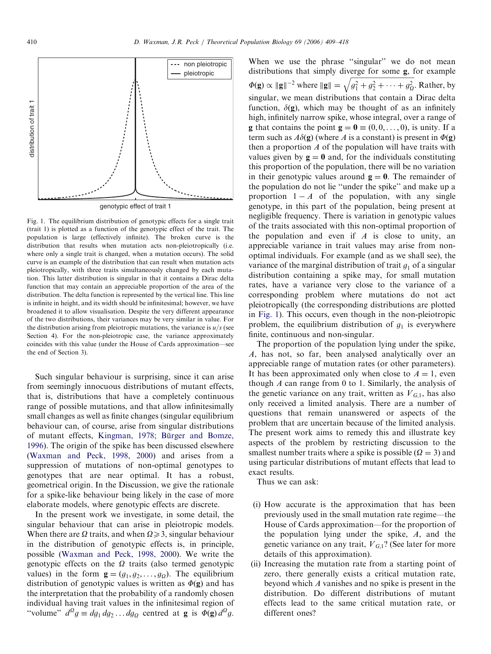<span id="page-1-0"></span>

genotypic effect of trait 1

Fig. 1. The equilibrium distribution of genotypic effects for a single trait (trait 1) is plotted as a function of the genotypic effect of the trait. The population is large (effectively infinite). The broken curve is the distribution that results when mutation acts non-pleiotropically (i.e. where only a single trait is changed, when a mutation occurs). The solid curve is an example of the distribution that can result when mutation acts pleiotropically, with three traits simultaneously changed by each mutation. This latter distribution is singular in that it contains a Dirac delta function that may contain an appreciable proportion of the area of the distribution. The delta function is represented by the vertical line. This line is infinite in height, and its width should be infinitesimal; however, we have broadened it to allow visualisation. Despite the very different appearance of the two distributions, their variances may be very similar in value. For the distribution arising from pleiotropic mutations, the variance is  $u/s$  (see Section 4). For the non-pleiotropic case, the variance approximately coincides with this value (under the House of Cards approximation—see the end of Section 3).

Such singular behaviour is surprising, since it can arise from seemingly innocuous distributions of mutant effects, that is, distributions that have a completely continuous range of possible mutations, and that allow infinitesimally small changes as well as finite changes (singular equilibrium behaviour can, of course, arise from singular distributions of mutant effects, Kingman, 1978; Bürger and Bomze, [1996\)](#page-9-0). The origin of the spike has been discussed elsewhere [\(Waxman and Peck, 1998, 2000\)](#page-9-0) and arises from a suppression of mutations of non-optimal genotypes to genotypes that are near optimal. It has a robust, geometrical origin. In the Discussion, we give the rationale for a spike-like behaviour being likely in the case of more elaborate models, where genotypic effects are discrete.

In the present work we investigate, in some detail, the singular behaviour that can arise in pleiotropic models. When there are  $\Omega$  traits, and when  $\Omega \geq 3$ , singular behaviour in the distribution of genotypic effects is, in principle, possible ([Waxman and Peck, 1998, 2000](#page-9-0)). We write the genotypic effects on the  $\Omega$  traits (also termed genotypic values) in the form  $\mathbf{g} = (g_1, g_2, \dots, g_\Omega)$ . The equilibrium distribution of genotypic values is written as  $\Phi(\mathbf{g})$  and has the interpretation that the probability of a randomly chosen individual having trait values in the infinitesimal region of "volume"  $d^Qg \equiv dg_1 dg_2 \dots dg_Q$  centred at **g** is  $\Phi(\mathbf{g}) d^Qg$ .

When we use the phrase "singular" we do not mean distributions that simply diverge for some g, for example  $\Phi(\mathbf{g}) \propto ||\mathbf{g}||^{-2}$  where  $||\mathbf{g}|| = \sqrt{g_1^2 + g_2^2 + \cdots + g_0^2}$  $g_1^2 + g_2^2 + \cdots + g_{\Omega}^2$  $\mathcal{L}_{\mathcal{A}}$ . Rather, by singular, we mean distributions that contain a Dirac delta function,  $\delta(\mathbf{g})$ , which may be thought of as an infinitely high, infinitely narrow spike, whose integral, over a range of **g** that contains the point  $\mathbf{g} = \mathbf{0} \equiv (0, 0, \dots, 0)$ , is unity. If a term such as  $A\delta(\mathbf{g})$  (where A is a constant) is present in  $\Phi(\mathbf{g})$ then a proportion  $A$  of the population will have traits with values given by  $g = 0$  and, for the individuals constituting this proportion of the population, there will be no variation in their genotypic values around  $g = 0$ . The remainder of the population do not lie ''under the spike'' and make up a proportion  $1 - A$  of the population, with any single genotype, in this part of the population, being present at negligible frequency. There is variation in genotypic values of the traits associated with this non-optimal proportion of the population and even if  $A$  is close to unity, an appreciable variance in trait values may arise from nonoptimal individuals. For example (and as we shall see), the variance of the marginal distribution of trait  $g_1$  of a singular distribution containing a spike may, for small mutation rates, have a variance very close to the variance of a corresponding problem where mutations do not act pleiotropically (the corresponding distributions are plotted in Fig. 1). This occurs, even though in the non-pleiotropic problem, the equilibrium distribution of  $g_1$  is everywhere finite, continuous and non-singular.

The proportion of the population lying under the spike, A, has not, so far, been analysed analytically over an appreciable range of mutation rates (or other parameters). It has been approximated only when close to  $A = 1$ , even though  $A$  can range from 0 to 1. Similarly, the analysis of the genetic variance on any trait, written as  $V_{G,1}$ , has also only received a limited analysis. There are a number of questions that remain unanswered or aspects of the problem that are uncertain because of the limited analysis. The present work aims to remedy this and illustrate key aspects of the problem by restricting discussion to the smallest number traits where a spike is possible  $(Q = 3)$  and using particular distributions of mutant effects that lead to exact results.

Thus we can ask:

- (i) How accurate is the approximation that has been previously used in the small mutation rate regime—the House of Cards approximation—for the proportion of the population lying under the spike, A, and the genetic variance on any trait,  $V_{G,1}$ ? (See later for more details of this approximation).
- (ii) Increasing the mutation rate from a starting point of zero, there generally exists a critical mutation rate, beyond which A vanishes and no spike is present in the distribution. Do different distributions of mutant effects lead to the same critical mutation rate, or different ones?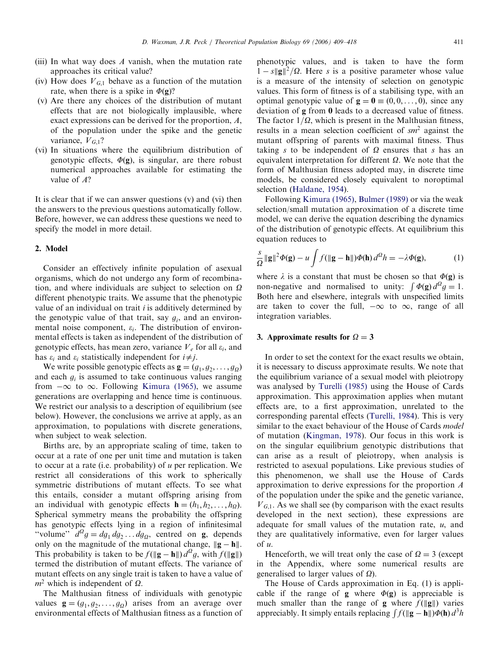- (iii) In what way does  $A$  vanish, when the mutation rate approaches its critical value?
- (iv) How does  $V_{G,1}$  behave as a function of the mutation rate, when there is a spike in  $\Phi(\mathbf{g})$ ?
- (v) Are there any choices of the distribution of mutant effects that are not biologically implausible, where exact expressions can be derived for the proportion, A, of the population under the spike and the genetic variance,  $V_{G,1}$ ?
- (vi) In situations where the equilibrium distribution of genotypic effects,  $\Phi(\mathbf{g})$ , is singular, are there robust numerical approaches available for estimating the value of A?

It is clear that if we can answer questions (v) and (vi) then the answers to the previous questions automatically follow. Before, however, we can address these questions we need to specify the model in more detail.

## 2. Model

Consider an effectively infinite population of asexual organisms, which do not undergo any form of recombination, and where individuals are subject to selection on  $\Omega$ different phenotypic traits. We assume that the phenotypic value of an individual on trait  $i$  is additively determined by the genotypic value of that trait, say  $g_i$ , and an environmental noise component,  $\varepsilon_i$ . The distribution of environmental effects is taken as independent of the distribution of genotypic effects, has mean zero, variance  $V_e$  for all  $\varepsilon_i$ , and has  $\varepsilon_i$  and  $\varepsilon_i$  statistically independent for  $i \neq j$ .

We write possible genotypic effects as  $\mathbf{g} = (g_1, g_2, \dots, g_0)$ and each  $g_i$  is assumed to take continuous values ranging from  $-\infty$  to  $\infty$ . Following [Kimura \(1965\)](#page-9-0), we assume generations are overlapping and hence time is continuous. We restrict our analysis to a description of equilibrium (see below). However, the conclusions we arrive at apply, as an approximation, to populations with discrete generations, when subject to weak selection.

Births are, by an appropriate scaling of time, taken to occur at a rate of one per unit time and mutation is taken to occur at a rate (i.e. probability) of  $u$  per replication. We restrict all considerations of this work to spherically symmetric distributions of mutant effects. To see what this entails, consider a mutant offspring arising from an individual with genotypic effects  $\mathbf{h} = (h_1, h_2, \dots, h_\Omega)$ . Spherical symmetry means the probability the offspring has genotypic effects lying in a region of infinitesimal "volume"  $d^Qg = dg_1 dg_2 \dots dg_Q$ , centred on g, depends only on the magnitude of the mutational change,  $\|\mathbf{g} - \mathbf{h}\|$ . This probability is taken to be  $f(\Vert \mathbf{g} - \mathbf{h} \Vert) d^{\Omega} g$ , with  $f(\Vert \mathbf{g} \Vert)$ termed the distribution of mutant effects. The variance of mutant effects on any single trait is taken to have a value of  $m^2$  which is independent of  $\Omega$ .

The Malthusian fitness of individuals with genotypic values  $\mathbf{g} = (g_1, g_2, \dots, g_0)$  arises from an average over environmental effects of Malthusian fitness as a function of phenotypic values, and is taken to have the form  $1 - s\|\mathbf{g}\|^2/\Omega$ . Here s is a positive parameter whose value is a measure of the intensity of selection on genotypic values. This form of fitness is of a stabilising type, with an optimal genotypic value of  $\mathbf{g} = \mathbf{0} \equiv (0, 0, \dots, 0)$ , since any deviation of g from 0 leads to a decreased value of fitness. The factor  $1/\Omega$ , which is present in the Malthusian fitness, results in a mean selection coefficient of  $sm^2$  against the mutant offspring of parents with maximal fitness. Thus taking s to be independent of  $\Omega$  ensures that s has an equivalent interpretation for different  $\Omega$ . We note that the form of Malthusian fitness adopted may, in discrete time models, be considered closely equivalent to noroptimal selection ([Haldane, 1954](#page-9-0)).

Following [Kimura \(1965\),](#page-9-0) [Bulmer \(1989\)](#page-9-0) or via the weak selection/small mutation approximation of a discrete time model, we can derive the equation describing the dynamics of the distribution of genotypic effects. At equilibrium this equation reduces to

$$
\frac{S}{\Omega} \| \mathbf{g} \|^2 \Phi(\mathbf{g}) - u \int f(\| \mathbf{g} - \mathbf{h} \|) \Phi(\mathbf{h}) d^{\Omega} h = -\lambda \Phi(\mathbf{g}), \tag{1}
$$

where  $\lambda$  is a constant that must be chosen so that  $\Phi(\mathbf{g})$  is non-negative and normalised to unity:  $\int \Phi(\mathbf{g}) d^2 g = 1$ . Both here and elsewhere, integrals with unspecified limits are taken to cover the full,  $-\infty$  to  $\infty$ , range of all integration variables.

## 3. Approximate results for  $\Omega = 3$

In order to set the context for the exact results we obtain, it is necessary to discuss approximate results. We note that the equilibrium variance of a sexual model with pleiotropy was analysed by [Turelli \(1985\)](#page-9-0) using the House of Cards approximation. This approximation applies when mutant effects are, to a first approximation, unrelated to the corresponding parental effects [\(Turelli, 1984\)](#page-9-0). This is very similar to the exact behaviour of the House of Cards model of mutation [\(Kingman, 1978\)](#page-9-0). Our focus in this work is on the singular equilibrium genotypic distributions that can arise as a result of pleiotropy, when analysis is restricted to asexual populations. Like previous studies of this phenomenon, we shall use the House of Cards approximation to derive expressions for the proportion A of the population under the spike and the genetic variance,  $V_{G,1}$ . As we shall see (by comparison with the exact results developed in the next section), these expressions are adequate for small values of the mutation rate,  $u$ , and they are qualitatively informative, even for larger values of u.

Henceforth, we will treat only the case of  $\Omega = 3$  (except in the Appendix, where some numerical results are generalised to larger values of  $\Omega$ ).

The House of Cards approximation in Eq. (1) is applicable if the range of **g** where  $\Phi$ (**g**) is appreciable is much smaller than the range of **g** where  $f(\Vert \mathbf{g} \Vert)$  varies appreciably. It simply entails replacing  $\int f(\Vert \mathbf{g} - \mathbf{h} \Vert) \Phi(\mathbf{h}) d^3h$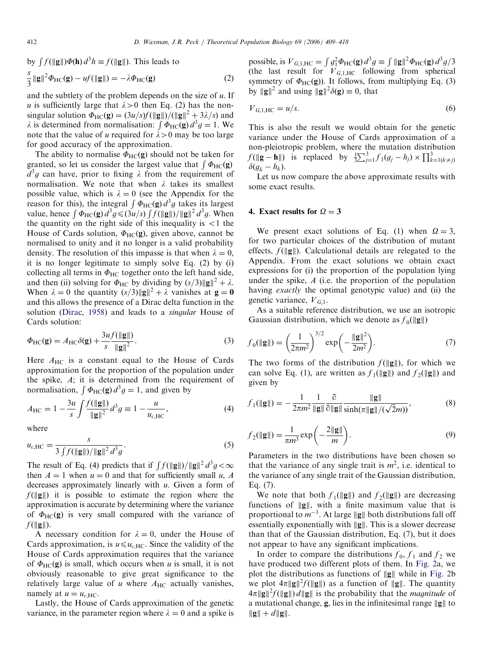by 
$$
\int f(\|\mathbf{g}\|) \Phi(\mathbf{h}) d^3 h \equiv f(\|\mathbf{g}\|)
$$
. This leads to  
\n
$$
\frac{s}{3} \|\mathbf{g}\|^2 \Phi_{\text{HC}}(\mathbf{g}) - uf(\|\mathbf{g}\|) = -\lambda \Phi_{\text{HC}}(\mathbf{g})
$$
\n(2)

and the subtlety of the problem depends on the size of  $u$ . If u is sufficiently large that  $\lambda > 0$  then Eq. (2) has the nonsingular solution  $\Phi_{HC}(g) = \frac{3u}{s}f(\|g\|)/(\|g\|^2 + 3\lambda/s)$  and  $\lambda$  is determined from normalisation:  $\int \Phi_{HC}(\mathbf{g}) d^3 g = 1$ . We note that the value of u required for  $\lambda > 0$  may be too large for good accuracy of the approximation.

The ability to normalise  $\Phi_{HC}(g)$  should not be taken for granted, so let us consider the largest value that  $\int \Phi_{\text{HC}}(\mathbf{g})$  $d^3g$  can have, prior to fixing  $\lambda$  from the requirement of normalisation. We note that when  $\lambda$  takes its smallest possible value, which is  $\lambda = 0$  (see the Appendix for the reason for this), the integral  $\int \Phi_{HC}(\mathbf{g}) d^3g$  takes its largest value, hence  $\int \Phi_{\text{HC}}(\mathbf{g}) d^3 g \leq (3u/s) \int f(\|\mathbf{g}\|) / \|\mathbf{g}\|^2 d^3 g$ . When the quantity on the right side of this inequality is  $\langle 1 \rangle$  the House of Cards solution,  $\Phi_{HC}(g)$ , given above, cannot be normalised to unity and it no longer is a valid probability density. The resolution of this impasse is that when  $\lambda = 0$ , it is no longer legitimate to simply solve Eq. (2) by (i) collecting all terms in  $\Phi_{HC}$  together onto the left hand side, and then (ii) solving for  $\Phi_{HC}$  by dividing by  $(s/3)\Vert \mathbf{g} \Vert^2 + \lambda$ . When  $\lambda = 0$  the quantity  $(s/3) \|g\|^2 + \lambda$  vanishes at  $g = 0$ and this allows the presence of a Dirac delta function in the solution [\(Dirac, 1958\)](#page-9-0) and leads to a singular House of Cards solution:

$$
\Phi_{\rm HC}(\mathbf{g}) = A_{\rm HC} \delta(\mathbf{g}) + \frac{3uf(\|\mathbf{g}\|)}{s} \frac{\|\mathbf{g}\|}{\|\mathbf{g}\|^2}.
$$
\n(3)

Here  $A_{HC}$  is a constant equal to the House of Cards approximation for the proportion of the population under the spike, A; it is determined from the requirement of normalisation,  $\int \Phi_{HC}(\mathbf{g}) d^3 g = 1$ , and given by

$$
A_{\rm HC} = 1 - \frac{3u}{s} \int \frac{f(\|\mathbf{g}\|)}{\|\mathbf{g}\|^2} d^3 g \equiv 1 - \frac{u}{u_{c,\rm HC}},\tag{4}
$$

where

$$
u_{c,\text{HC}} = \frac{s}{3 \int f(\|\mathbf{g}\|) / \|\mathbf{g}\|^2 d^3 g}.
$$
 (5)

The result of Eq. (4) predicts that if  $\int f(\|\mathbf{g}\|)/\|\mathbf{g}\|^2 d^3 g < \infty$ then  $A = 1$  when  $u = 0$  and that for sufficiently small u, A decreases approximately linearly with  $u$ . Given a form of  $f(||g||)$  it is possible to estimate the region where the approximation is accurate by determining where the variance of  $\Phi_{HC}(g)$  is very small compared with the variance of  $f(\Vert \mathbf{g} \Vert)$ .

A necessary condition for  $\lambda = 0$ , under the House of Cards approximation, is  $u \leq u_{c,HC}$ . Since the validity of the House of Cards approximation requires that the variance of  $\Phi_{HC}(g)$  is small, which occurs when u is small, it is not obviously reasonable to give great significance to the relatively large value of  $u$  where  $A_{HC}$  actually vanishes, namely at  $u = u_{c,HC}$ .

Lastly, the House of Cards approximation of the genetic variance, in the parameter region where  $\lambda = 0$  and a spike is possible, is  $V_{G,1,HC} = \int g_1^2 \Phi_{HC}(\mathbf{g}) d^3 g \equiv \int ||\mathbf{g}||^2 \Phi_{HC}(\mathbf{g}) d^3 g/3$ (the last result for  $V_{G,1,\text{HC}}$  following from spherical symmetry of  $\Phi_{HC}(g)$ ). It follows, from multiplying Eq. (3) by  $\|\mathbf{g}\|^2$  and using  $\|\mathbf{g}\|^2\delta(\mathbf{g})\equiv 0$ , that

$$
V_{G,1,\text{HC}} = u/s. \tag{6}
$$

This is also the result we would obtain for the genetic variance under the House of Cards approximation of a non-pleiotropic problem, where the mutation distribution  $f(\|\mathbf{g} - \mathbf{h}\|)$  is replaced by  $\frac{1}{3}\sum_{j=1}^{3} f_1(g_j - h_j) \times \prod_{k=1(k\neq j)}^{3}$  $\delta(g_k - h_k)$ .

Let us now compare the above approximate results with some exact results.

## 4. Exact results for  $\Omega = 3$

We present exact solutions of Eq. (1) when  $\Omega = 3$ , for two particular choices of the distribution of mutant effects,  $f(\Vert \mathbf{g} \Vert)$ . Calculational details are relegated to the Appendix. From the exact solutions we obtain exact expressions for (i) the proportion of the population lying under the spike,  $A$  (i.e. the proportion of the population having *exactly* the optimal genotypic value) and (ii) the genetic variance,  $V_{G,1}$ .

As a suitable reference distribution, we use an isotropic Gaussian distribution, which we denote as  $f_0(\Vert \mathbf{g} \Vert)$ 

$$
f_0(\|\mathbf{g}\|) = \left(\frac{1}{2\pi m^2}\right)^{3/2} \exp\left(-\frac{\|\mathbf{g}\|^2}{2m^2}\right).
$$
 (7)

The two forms of the distribution  $f(\Vert \mathbf{g} \Vert)$ , for which we can solve Eq. (1), are written as  $f_1(\Vert \mathbf{g} \Vert)$  and  $f_2(\Vert \mathbf{g} \Vert)$  and given by

$$
f_1(\|\mathbf{g}\|) = -\frac{1}{2\pi m^2} \frac{1}{\|\mathbf{g}\|} \frac{\partial}{\partial \|\mathbf{g}\|} \frac{\|\mathbf{g}\|}{\sinh(\pi \|\mathbf{g}\|/(\sqrt{2}m))},
$$
(8)

$$
f_2(||g||) = \frac{1}{\pi m^3} \exp\left(-\frac{2||g||}{m}\right).
$$
 (9)

Parameters in the two distributions have been chosen so that the variance of any single trait is  $m^2$ , i.e. identical to the variance of any single trait of the Gaussian distribution, Eq. (7).

We note that both  $f_1(\Vert \mathbf{g} \Vert)$  and  $f_2(\Vert \mathbf{g} \Vert)$  are decreasing functions of  $\|g\|$ , with a finite maximum value that is proportional to  $m^{-3}$ . At large ||g|| both distributions fall off essentially exponentially with  $\|g\|$ . This is a slower decrease than that of the Gaussian distribution, Eq. (7), but it does not appear to have any significant implications.

In order to compare the distributions  $f_0$ ,  $f_1$  and  $f_2$  we have produced two different plots of them. In [Fig. 2](#page-4-0)a, we plot the distributions as functions of  $\|{\bf g}\|$  while in [Fig. 2](#page-4-0)b we plot  $4\pi ||g||^2 f(||g||)$  as a function of  $||g||$ . The quantity  $4\pi ||g||^2 f(||g||) d||g||$  is the probability that the *magnitude* of a mutational change, **g**, lies in the infinitesimal range  $\|$ **g** $\|$  to  $\|{\bf g}\| + d\|{\bf g}\|.$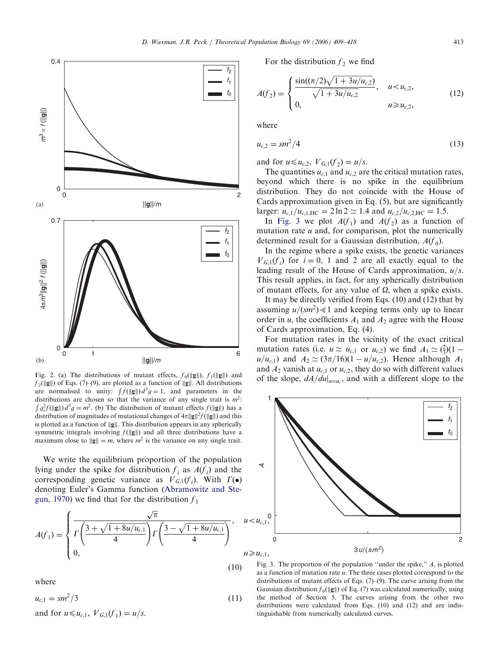<span id="page-4-0"></span>

Fig. 2. (a) The distributions of mutant effects,  $f_0(\Vert \mathbf{g} \Vert)$ ,  $f_1(\Vert \mathbf{g} \Vert)$  and  $f_2(\Vert \mathbf{g} \Vert)$  of Eqs. (7)–(9), are plotted as a function of  $\Vert \mathbf{g} \Vert$ . All distributions  $f_2(\|\mathbf{g}\|)$  or Eqs. (*i*) (*b*), are protted as a random or  $\|\mathbf{g}\|$ . An distributions are normalised to unity:  $\int f(\|\mathbf{g}\|) d^3 g = 1$ , and parameters in the distributions are chosen so that the variance of any single trait is  $m^2$ .  $g_i^2 f(\Vert \mathbf{g} \Vert) d^3 g = m^2$ . (b) The distribution of mutant effects  $f(\Vert \mathbf{g} \Vert)$  has a distribution of magnitudes of mutational changes of  $4\pi ||g||^2 f(||g||)$  and this is plotted as a function of  $\|g\|$ . This distribution appears in any spherically symmetric integrals involving  $f(\Vert \mathbf{g} \Vert)$  and all three distributions have a maximum close to  $\|\mathbf{g}\| = m$ , where  $m^2$  is the variance on any single trait.

We write the equilibrium proportion of the population lying under the spike for distribution  $f_i$  as  $A(f_i)$  and the corresponding genetic variance as  $V_{G,1}(f_i)$ . With  $\Gamma(\bullet)$ denoting Euler's Gamma function ([Abramowitz and Ste](#page-9-0)[gun, 1970\)](#page-9-0) we find that for the distribution  $f_1$ 

$$
A(f_1) = \begin{cases} \frac{\sqrt{\pi}}{\Gamma\left(\frac{3+\sqrt{1+8u/u_{c,1}}}{4}\right) \Gamma\left(\frac{3-\sqrt{1+8u/u_{c,1}}}{4}\right)}, & u \neq 0, \\ 0, & u \end{cases}
$$

(10)

where

$$
u_{c,1} = sm^2/3
$$
 (11)  
and for  $u \le u_{c,1}$ ,  $V_{G,1}(f_1) = u/s$ .

For the distribution  $f_2$  we find

$$
A(f_2) = \begin{cases} \frac{\sin((\pi/2)\sqrt{1+3u/u_{c,2}})}{\sqrt{1+3u/u_{c,2}}}, & u < u_{c,2}, \\ 0, & u \ge u_{c,2}, \end{cases}
$$
(12)

where

$$
u_{c,2} = sm^2/4
$$
 (13)

and for  $u \leq u_{c,2}$ ,  $V_{G,1}(f_2) = u/s$ .

The quantities  $u_{c,1}$  and  $u_{c,2}$  are the critical mutation rates, beyond which there is no spike in the equilibrium distribution. They do not coincide with the House of Cards approximation given in Eq. (5), but are significantly larger:  $u_{c,1}/u_{c,1,\text{HC}} = 2 \ln 2 \simeq 1.4$  and  $u_{c,2}/u_{c,2,\text{HC}} = 1.5$ .

In Fig. 3 we plot  $A(f_1)$  and  $A(f_2)$  as a function of mutation rate  $u$  and, for comparison, plot the numerically determined result for a Gaussian distribution,  $A(f_0)$ .

In the regime where a spike exists, the genetic variances  $V_{G,1}(f_i)$  for  $i = 0, 1$  and 2 are all exactly equal to the leading result of the House of Cards approximation,  $u/s$ . This result applies, in fact, for any spherically distribution of mutant effects, for any value of  $\Omega$ , when a spike exists.

It may be directly verified from Eqs. (10) and (12) that by assuming  $u/(sm^2) \ll 1$  and keeping terms only up to linear order in u, the coefficients  $A_1$  and  $A_2$  agree with the House of Cards approximation, Eq. (4).

For mutation rates in the vicinity of the exact critical mutation rates (i.e.  $u \simeq u_{c,1}$  or  $u_{c,2}$ ) we find  $A_1 \simeq (\frac{2}{3})(1$  $u/u_{c,1}$ ) and  $A_2 \simeq (3\pi/16)(1 - u/u_{c,2})$ . Hence although  $A_1$ and  $A_2$  vanish at  $u_{c,1}$  or  $u_{c,2}$ , they do so with different values of the slope,  $dA/du|_{u=u_c}$ , and with a different slope to the



Fig. 3. The proportion of the population "under the spike,"  $A$ , is plotted as a function of mutation rate u. The three cases plotted correspond to the distributions of mutant effects of Eqs. (7)–(9). The curve arising from the Gaussian distribution  $f_0(\Vert \mathbf{g} \Vert)$  of Eq. (7) was calculated numerically, using the method of Section 5. The curves arising from the other two distributions were calculated from Eqs. (10) and (12) and are indistinguishable from numerically calculated curves.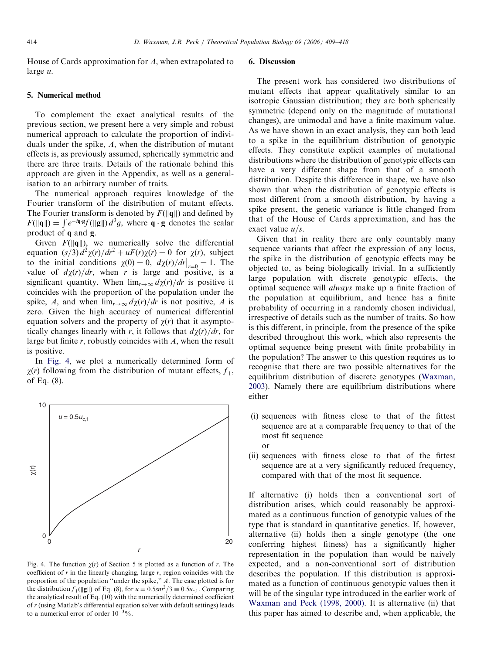House of Cards approximation for A, when extrapolated to large u.

#### 5. Numerical method

To complement the exact analytical results of the previous section, we present here a very simple and robust numerical approach to calculate the proportion of individuals under the spike, A, when the distribution of mutant effects is, as previously assumed, spherically symmetric and there are three traits. Details of the rationale behind this approach are given in the Appendix, as well as a generalisation to an arbitrary number of traits.

The numerical approach requires knowledge of the Fourier transform of the distribution of mutant effects. The Fourier transform is denoted by  $F(\|\mathbf{q}\|)$  and defined by F(||q||) =  $\int e^{-i\mathbf{q} \cdot \mathbf{g}} f(\|\mathbf{g}\|) d^3g$ , where  $\mathbf{q} \cdot \mathbf{g}$  denotes the scalar product of q and g.

Given  $F(\|\mathbf{q}\|)$ , we numerically solve the differential equation  $(s/3) d^2 \chi(r)/dr^2 + uF(r)\chi(r) = 0$  for  $\chi(r)$ , subject to the initial conditions  $\chi(0) = 0$ ,  $d\chi(r)/dr|_{r=0} = 1$ . The value of  $d\chi(r)/dr$ , when r is large and positive, is a significant quantity. When  $\lim_{r\to\infty} d\chi(r)/dr$  is positive it coincides with the proportion of the population under the spike, A, and when  $\lim_{r\to\infty} d\chi(r)/dr$  is not positive, A is zero. Given the high accuracy of numerical differential equation solvers and the property of  $\chi(r)$  that it asymptotically changes linearly with r, it follows that  $d\chi(r)/dr$ , for large but finite  $r$ , robustly coincides with  $A$ , when the result is positive.

In Fig. 4, we plot a numerically determined form of  $\chi(r)$  following from the distribution of mutant effects,  $f_1$ , of Eq. (8).



Fig. 4. The function  $\chi(r)$  of Section 5 is plotted as a function of r. The coefficient of  $r$  in the linearly changing, large  $r$ , region coincides with the proportion of the population ''under the spike,'' A. The case plotted is for the distribution  $f_1(\Vert \mathbf{g} \Vert)$  of Eq. (8), for  $u = 0.5$ sm<sup>2</sup>/3  $\equiv 0.5u_{c,1}$ . Comparing the analytical result of Eq. (10) with the numerically determined coefficient of r (using Matlab's differential equation solver with default settings) leads to a numerical error of order  $10^{-3}\%$ .

## 6. Discussion

The present work has considered two distributions of mutant effects that appear qualitatively similar to an isotropic Gaussian distribution; they are both spherically symmetric (depend only on the magnitude of mutational changes), are unimodal and have a finite maximum value. As we have shown in an exact analysis, they can both lead to a spike in the equilibrium distribution of genotypic effects. They constitute explicit examples of mutational distributions where the distribution of genotypic effects can have a very different shape from that of a smooth distribution. Despite this difference in shape, we have also shown that when the distribution of genotypic effects is most different from a smooth distribution, by having a spike present, the genetic variance is little changed from that of the House of Cards approximation, and has the exact value  $u/s$ .

Given that in reality there are only countably many sequence variants that affect the expression of any locus, the spike in the distribution of genotypic effects may be objected to, as being biologically trivial. In a sufficiently large population with discrete genotypic effects, the optimal sequence will always make up a finite fraction of the population at equilibrium, and hence has a finite probability of occurring in a randomly chosen individual, irrespective of details such as the number of traits. So how is this different, in principle, from the presence of the spike described throughout this work, which also represents the optimal sequence being present with finite probability in the population? The answer to this question requires us to recognise that there are two possible alternatives for the equilibrium distribution of discrete genotypes [\(Waxman,](#page-9-0) [2003\)](#page-9-0). Namely there are equilibrium distributions where either

- (i) sequences with fitness close to that of the fittest sequence are at a comparable frequency to that of the most fit sequence or
- (ii) sequences with fitness close to that of the fittest sequence are at a very significantly reduced frequency, compared with that of the most fit sequence.

If alternative (i) holds then a conventional sort of distribution arises, which could reasonably be approximated as a continuous function of genotypic values of the type that is standard in quantitative genetics. If, however, alternative (ii) holds then a single genotype (the one conferring highest fitness) has a significantly higher representation in the population than would be naively expected, and a non-conventional sort of distribution describes the population. If this distribution is approximated as a function of continuous genotypic values then it will be of the singular type introduced in the earlier work of [Waxman and Peck \(1998, 2000\).](#page-9-0) It is alternative (ii) that this paper has aimed to describe and, when applicable, the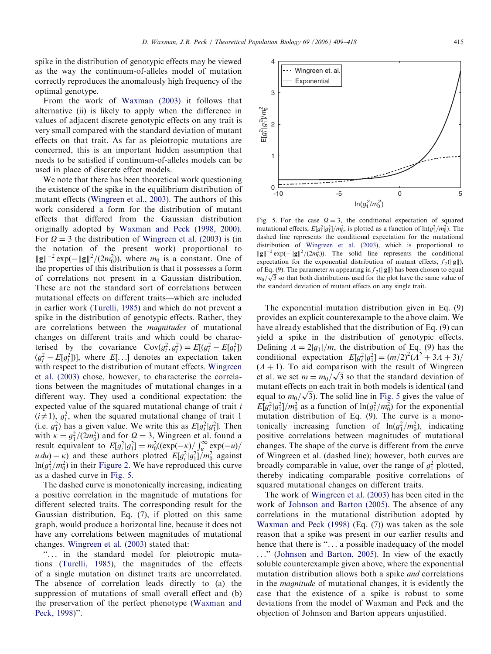D. Waxman, J.R. Peck / Theoretical Population Biology 69 (2006) 409–418 415

spike in the distribution of genotypic effects may be viewed as the way the continuum-of-alleles model of mutation correctly reproduces the anomalously high frequency of the optimal genotype.

From the work of [Waxman \(2003\)](#page-9-0) it follows that alternative (ii) is likely to apply when the difference in values of adjacent discrete genotypic effects on any trait is very small compared with the standard deviation of mutant effects on that trait. As far as pleiotropic mutations are concerned, this is an important hidden assumption that needs to be satisfied if continuum-of-alleles models can be used in place of discrete effect models.

We note that there has been theoretical work questioning the existence of the spike in the equilibrium distribution of mutant effects [\(Wingreen et al., 2003](#page-9-0)). The authors of this work considered a form for the distribution of mutant effects that differed from the Gaussian distribution originally adopted by [Waxman and Peck \(1998, 2000\).](#page-9-0) For  $\Omega = 3$  the distribution of [Wingreen et al. \(2003\)](#page-9-0) is (in the notation of the present work) proportional to  $\|\mathbf{g}\|^{-2} \exp(-\|\mathbf{g}\|^2/(2m_0^2))$ , where  $m_0$  is a constant. One of the properties of this distribution is that it possesses a form of correlations not present in a Gaussian distribution. These are not the standard sort of correlations between mutational effects on different traits—which are included in earlier work ([Turelli, 1985](#page-9-0)) and which do not prevent a spike in the distribution of genotypic effects. Rather, they are correlations between the magnitudes of mutational changes on different traits and which could be characterised by the covariance  $Cov(g_i^2, g_j^2) = E[(g_i^2 - E[g_i^2])$  $(g_j^2 - E[g_j^2])$ , where  $E[\ldots]$  denotes an expectation taken with respect to the distribution of mutant effects. [Wingreen](#page-9-0) [et al. \(2003\)](#page-9-0) chose, however, to characterise the correlations between the magnitudes of mutational changes in a different way. They used a conditional expectation: the expected value of the squared mutational change of trait i  $(i \neq 1)$ ,  $g_i^2$ , when the squared mutational change of trait 1 (i.e.  $g_1^2$ ) has a given value. We write this as  $E[g_i^2|g_1^2]$ . Then with  $\kappa = g_1^2/(2m_0^2)$  and for  $\Omega = 3$ , Wingreen et al. found a result equivalent to  $E[g_i^2|g_1^2] = m_0^2((\exp(-\kappa)/\int_{\kappa}^{\infty} \exp(-u)/\int_{-\infty}^{\infty}$  $u \, du$ ) –  $\kappa$ ) and these authors plotted  $E[g_i^2|g_1^2]/m_0^2$  against  $ln(g_1^2/m_0^2)$  in their [Figure 2.](#page-4-0) We have reproduced this curve as a dashed curve in Fig. 5.

The dashed curve is monotonically increasing, indicating a positive correlation in the magnitude of mutations for different selected traits. The corresponding result for the Gaussian distribution, Eq. (7), if plotted on this same graph, would produce a horizontal line, because it does not have any correlations between magnitudes of mutational changes. [Wingreen et al. \(2003\)](#page-9-0) stated that:

''... in the standard model for pleiotropic mutations [\(Turelli, 1985\)](#page-9-0), the magnitudes of the effects of a single mutation on distinct traits are uncorrelated. The absence of correlation leads directly to (a) the suppression of mutations of small overall effect and (b) the preservation of the perfect phenotype [\(Waxman and](#page-9-0) [Peck, 1998\)](#page-9-0)''.



Fig. 5. For the case  $\Omega = 3$ , the conditional expectation of squared mutational effects,  $E[g_i^2]g_1^2/m_0^2$ , is plotted as a function of  $\ln(g_1^2/m_0^2)$ . The dashed line represents the conditional expectation for the mutational distribution of [Wingreen et al. \(2003\),](#page-9-0) which is proportional to  $\|\mathbf{g}\|^{-2} \exp(-\|\mathbf{g}\|^2/(2m_0^2))$ . The solid line represents the conditional expectation for the exponential distribution of mutant effects,  $f_2(\Vert \mathbf{g} \Vert)$ , of Eq. (9). The parameter *m* appearing in  $f_2(\Vert \mathbf{g} \Vert)$  has been chosen to equal of Eq. (9). The parameter *m* appearing in *f*<sub>2</sub>( $\|$ g||*f*) has been chosen to equal  $m_0/\sqrt{3}$  so that both distributions used for the plot have the same value of the standard deviation of mutant effects on any single trait.

The exponential mutation distribution given in Eq. (9) provides an explicit counterexample to the above claim. We have already established that the distribution of Eq. (9) can yield a spike in the distribution of genotypic effects. Defining  $\Lambda = 2|g_1|/m$ , the distribution of Eq. (9) has the conditional expectation  $E[g_i^2|g_1^2] = (m/2)^2(A^2 + 3A + 3)$  $(A + 1)$ . To aid comparison with the result of Wingreen  $(2i + 1)$ . To and comparison with the result of wingreen<br>et al. we set  $m = m_0/\sqrt{3}$  so that the standard deviation of mutant effects on each trait in both models is identical (and mutant effects on each trait in both models is identical (and equal to  $m_0/\sqrt{3}$ ). The solid line in Fig. 5 gives the value of  $E[g_i^2|g_1^2]/m_0^2$  as a function of  $\ln(g_1^2/m_0^2)$  for the exponential mutation distribution of Eq. (9). The curve is a monotonically increasing function of  $\ln(g_1^2/m_0^2)$ , indicating positive correlations between magnitudes of mutational changes. The shape of the curve is different from the curve of Wingreen et al. (dashed line); however, both curves are broadly comparable in value, over the range of  $g_1^2$  plotted, thereby indicating comparable positive correlations of squared mutational changes on different traits.

The work of [Wingreen et al. \(2003\)](#page-9-0) has been cited in the work of [Johnson and Barton \(2005\)](#page-9-0). The absence of any correlations in the mutational distribution adopted by [Waxman and Peck \(1998\)](#page-9-0) (Eq. (7)) was taken as the sole reason that a spike was present in our earlier results and hence that there is "... a possible inadequacy of the model ...'' [\(Johnson and Barton, 2005\)](#page-9-0). In view of the exactly soluble counterexample given above, where the exponential mutation distribution allows both a spike and correlations in the magnitude of mutational changes, it is evidently the case that the existence of a spike is robust to some deviations from the model of Waxman and Peck and the objection of Johnson and Barton appears unjustified.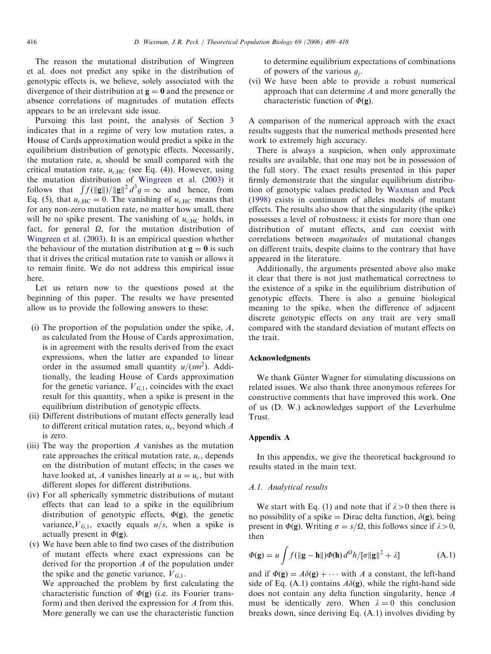The reason the mutational distribution of Wingreen et al. does not predict any spike in the distribution of genotypic effects is, we believe, solely associated with the divergence of their distribution at  $g = 0$  and the presence or absence correlations of magnitudes of mutation effects appears to be an irrelevant side issue.

Pursuing this last point, the analysis of Section 3 indicates that in a regime of very low mutation rates, a House of Cards approximation would predict a spike in the equilibrium distribution of genotypic effects. Necessarily, the mutation rate,  $u$ , should be small compared with the critical mutation rate,  $u_{c \text{HC}}$  (see Eq. (4)). However, using the mutation distribution of [Wingreen et al. \(2003\)](#page-9-0) it follows that  $\int f(||g||)/||g||^2 d^3g = \infty$  and hence, from Eq. (5), that  $u_{c,HC} = 0$ . The vanishing of  $u_{c,HC}$  means that for any non-zero mutation rate, no matter how small, there will be no spike present. The vanishing of  $u_{c,HC}$  holds, in fact, for general  $\Omega$ , for the mutation distribution of [Wingreen et al. \(2003\)](#page-9-0). It is an empirical question whether the behaviour of the mutation distribution at  $g = 0$  is such that it drives the critical mutation rate to vanish or allows it to remain finite. We do not address this empirical issue here.

Let us return now to the questions posed at the beginning of this paper. The results we have presented allow us to provide the following answers to these:

- (i) The proportion of the population under the spike,  $A$ , as calculated from the House of Cards approximation, is in agreement with the results derived from the exact expressions, when the latter are expanded to linear order in the assumed small quantity  $u/(sm^2)$ . Additionally, the leading House of Cards approximation for the genetic variance,  $V_{G,1}$ , coincides with the exact result for this quantity, when a spike is present in the equilibrium distribution of genotypic effects.
- (ii) Different distributions of mutant effects generally lead to different critical mutation rates,  $u_c$ , beyond which  $A$ is zero.
- (iii) The way the proportion  $A$  vanishes as the mutation rate approaches the critical mutation rate,  $u_c$ , depends on the distribution of mutant effects; in the cases we have looked at, A vanishes linearly at  $u = u_c$ , but with different slopes for different distributions.
- (iv) For all spherically symmetric distributions of mutant effects that can lead to a spike in the equilibrium distribution of genotypic effects,  $\Phi(\mathbf{g})$ , the genetic variance,  $V_{G,1}$ , exactly equals  $u/s$ , when a spike is actually present in  $\Phi(\mathbf{g})$ .
- (v) We have been able to find two cases of the distribution of mutant effects where exact expressions can be derived for the proportion A of the population under the spike and the genetic variance,  $V_{G,1}$ .

We approached the problem by first calculating the characteristic function of  $\Phi(\mathbf{g})$  (i.e. its Fourier transform) and then derived the expression for A from this. More generally we can use the characteristic function to determine equilibrium expectations of combinations of powers of the various  $q_i$ .

(vi) We have been able to provide a robust numerical approach that can determine A and more generally the characteristic function of  $\Phi(\mathbf{g})$ .

A comparison of the numerical approach with the exact results suggests that the numerical methods presented here work to extremely high accuracy.

There is always a suspicion, when only approximate results are available, that one may not be in possession of the full story. The exact results presented in this paper firmly demonstrate that the singular equilibrium distribution of genotypic values predicted by [Waxman and Peck](#page-9-0) [\(1998\)](#page-9-0) exists in continuum of alleles models of mutant effects. The results also show that the singularity (the spike) possesses a level of robustness; it exists for more than one distribution of mutant effects, and can coexist with correlations between magnitudes of mutational changes on different traits, despite claims to the contrary that have appeared in the literature.

Additionally, the arguments presented above also make it clear that there is not just mathematical correctness to the existence of a spike in the equilibrium distribution of genotypic effects. There is also a genuine biological meaning to the spike, when the difference of adjacent discrete genotypic effects on any trait are very small compared with the standard deviation of mutant effects on the trait.

## Acknowledgments

We thank Günter Wagner for stimulating discussions on related issues. We also thank three anonymous referees for constructive comments that have improved this work. One of us (D. W.) acknowledges support of the Leverhulme Trust.

#### Appendix A

In this appendix, we give the theoretical background to results stated in the main text.

#### A.1. Analytical results

We start with Eq. (1) and note that if  $\lambda > 0$  then there is no possibility of a spike = Dirac delta function,  $\delta(\mathbf{g})$ , being present in  $\Phi(\mathbf{g})$ . Writing  $\sigma = s/\Omega$ , this follows since if  $\lambda > 0$ , then

$$
\Phi(\mathbf{g}) = u \int f(\|\mathbf{g} - \mathbf{h}\|) \Phi(\mathbf{h}) d^2 h / [\sigma \|\mathbf{g}\|^2 + \lambda]
$$
\n(A.1)

and if  $\Phi(\mathbf{g}) = A\delta(\mathbf{g}) + \cdots$  with A a constant, the left-hand side of Eq. (A.1) contains  $A\delta(\mathbf{g})$ , while the right-hand side does not contain any delta function singularity, hence A must be identically zero. When  $\lambda = 0$  this conclusion breaks down, since deriving Eq. (A.1) involves dividing by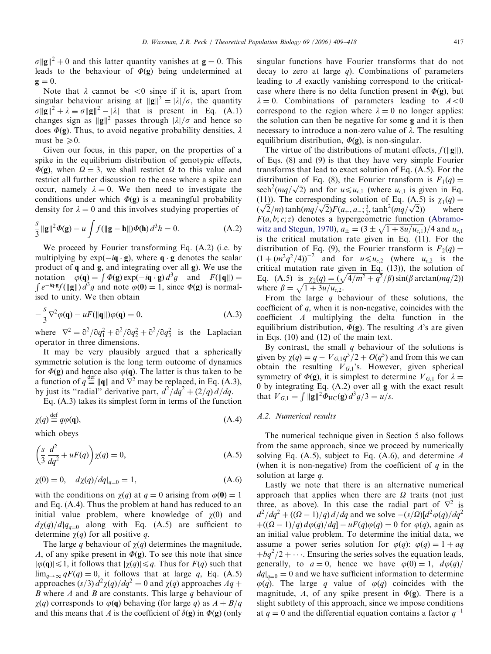$\sigma ||g||^2 + 0$  and this latter quantity vanishes at  $g = 0$ . This leads to the behaviour of  $\Phi(\mathbf{g})$  being undetermined at  $\mathbf{g} = 0.$ 

Note that  $\lambda$  cannot be  $\langle 0 \rangle$  since if it is, apart from singular behaviour arising at  $\Vert \mathbf{g} \Vert^2 = |\lambda| / \sigma$ , the quantity  $\sigma ||g||^2 + \lambda \equiv \sigma ||g||^2 - |\lambda|$  that is present in Eq. (A.1) changes sign as  $||g||^2$  passes through  $|\lambda|/\sigma$  and hence so does  $\Phi(\mathbf{g})$ . Thus, to avoid negative probability densities,  $\lambda$ must be  $\geq 0$ .

Given our focus, in this paper, on the properties of a spike in the equilibrium distribution of genotypic effects,  $\Phi(\mathbf{g})$ , when  $\Omega = 3$ , we shall restrict  $\Omega$  to this value and restrict all further discussion to the case where a spike can occur, namely  $\lambda = 0$ . We then need to investigate the conditions under which  $\Phi(g)$  is a meaningful probability density for  $\lambda = 0$  and this involves studying properties of

$$
\frac{s}{3} \|\mathbf{g}\|^2 \Phi(\mathbf{g}) - u \int f(\|\mathbf{g} - \mathbf{h}\|) \Phi(\mathbf{h}) d^3 h = 0.
$$
 (A.2)

We proceed by Fourier transforming Eq. (A.2) (i.e. by multiplying by  $exp(-i\mathbf{q} \cdot \mathbf{g})$ , where  $\mathbf{q} \cdot \mathbf{g}$  denotes the scalar product of q and g, and integrating over all g). We use the product of **q** and **g**, and mograting over an g). We use the<br>notation  $\varphi(\mathbf{q}) = \int \Phi(\mathbf{g}) \exp(-i\mathbf{q} \cdot \mathbf{g}) d^3 g$  and  $F(\|\mathbf{q}\|) =$ Following  $\sqrt{(q^2 - f)^2 (g/\hbar)^2}$  and note  $\varphi(0) = 1$ , since  $\varphi(g)$  is normalised to unity. We then obtain

$$
-\frac{s}{3}\nabla^2\varphi(\mathbf{q}) - uF(\|\mathbf{q}\|)\varphi(\mathbf{q}) = 0,
$$
\n(A.3)

where  $\nabla^2 = \frac{\partial^2}{\partial q_1^2} + \frac{\partial^2}{\partial q_2^2} + \frac{\partial^2}{\partial q_3^2}$  is the Laplacian operator in three dimensions.

It may be very plausibly argued that a spherically symmetric solution is the long term outcome of dynamics for  $\Phi(\mathbf{g})$  and hence also  $\varphi(\mathbf{q})$ . The latter is thus taken to be a function of  $q \stackrel{\text{def}}{=} ||q||$  and  $\overrightarrow{V}^2$  may be replaced, in Eq. (A.3), by just its "radial" derivative part,  $d^2/dq^2 + (2/q) d/dq$ .

Eq. (A.3) takes its simplest form in terms of the function

$$
\chi(q) \stackrel{\text{def}}{=} q\varphi(\mathbf{q}),\tag{A.4}
$$

which obeys

$$
\left(\frac{s}{3}\frac{d^2}{dq^2} + uF(q)\right)\chi(q) = 0,\tag{A.5}
$$

$$
\chi(0) = 0, \quad d\chi(q)/dq|_{q=0} = 1,
$$
\n(A.6)

with the conditions on  $\chi(q)$  at  $q = 0$  arising from  $\varphi(0) = 1$ and Eq. (A.4). Thus the problem at hand has reduced to an initial value problem, where knowledge of  $\chi(0)$  and  $d\chi(q)/d|q_{q=0}$  along with Eq. (A.5) are sufficient to determine  $\chi(q)$  for all positive q.

The large q behaviour of  $\chi(q)$  determines the magnitude, A, of any spike present in  $\Phi(\mathbf{g})$ . To see this note that since  $|\varphi(q)| \leq 1$ , it follows that  $|\chi(q)| \leq q$ . Thus for  $F(q)$  such that  $\lim_{q\to\infty} qF(q) = 0$ , it follows that at large q, Eq. (A.5) approaches  $(s/3) d^2\chi(q)/dq^2 = 0$  and  $\chi(q)$  approaches  $Aq +$ B where A and B are constants. This large q behaviour of  $\gamma(q)$  corresponds to  $\varphi(q)$  behaving (for large q) as  $A + B/q$ and this means that A is the coefficient of  $\delta(\mathbf{g})$  in  $\Phi(\mathbf{g})$  (only singular functions have Fourier transforms that do not decay to zero at large  $q$ ). Combinations of parameters leading to A exactly vanishing correspond to the criticalcase where there is no delta function present in  $\Phi(\mathbf{g})$ , but  $\lambda = 0$ . Combinations of parameters leading to  $A < 0$ correspond to the region where  $\lambda = 0$  no longer applies: the solution can then be negative for some g and it is then necessary to introduce a non-zero value of  $\lambda$ . The resulting equilibrium distribution,  $\Phi(\mathbf{g})$ , is non-singular.

The virtue of the distributions of mutant effects,  $f(||g||)$ , of Eqs. (8) and (9) is that they have very simple Fourier transforms that lead to exact solution of Eq. (A.5). For the distribution of Eq. (8), the Fourier transform is  $F_1(q) =$ distribution of Eq. (8), the Fourier transform is  $F_1(q) =$ <br>sech<sup>2</sup>( $mq/\sqrt{2}$ ) and for  $u \le u_{c,1}$  (where  $u_{c,1}$  is given in Eq. (11)). The corresponding solution of Eq. (A.5) is  $\chi_1(q) = (\sqrt{2}/m) \tanh(mq/\sqrt{2})F(a_+, a_-; \frac{3}{2}, \tanh^2(mq/\sqrt{2}))$  where (11)). The corresponding solution of Eq. (A.  $(\sqrt{2}/m)$  tanh $(mq/\sqrt{2})F(a_+, a_-; \frac{3}{2}, \tanh^2(mq/\sqrt{2})$  $F(a, b; c; z)$  denotes a hypergeometric function [\(Abramo](#page-9-0)[witz and Stegun, 1970\)](#page-9-0),  $a_{\pm} = (3 \pm \sqrt{1 + 8u/u_{c,1}})/4$  and  $u_{c,1}$ is the critical mutation rate given in Eq. (11). For the distribution of Eq. (9), the Fourier transform is  $F_2(q) =$  $(1 + (m^2q^2/4))^{-2}$  and for  $u \le u_{c,2}$  (where  $u_{c,2}$  is the critical mutation rate given in Eq. (13)), the solution of Eq. (A.5) is  $\chi_2(q) = (\sqrt{4/m^2 + q^2}/\beta) \sin(\beta \arctan(mq/2))$ where  $\beta = \sqrt{1 + 3u/u_{c,2}}$ .

From the large  $q$  behaviour of these solutions, the coefficient of  $q$ , when it is non-negative, coincides with the coefficient A multiplying the delta function in the equilibrium distribution,  $\Phi(\mathbf{g})$ . The resulting A's are given in Eqs. (10) and (12) of the main text.

By contrast, the small  $q$  behaviour of the solutions is given by  $\chi(q) = q - V_{G,1}q^3/2 + O(q^5)$  and from this we can obtain the resulting  $V_{G,1}$ 's. However, given spherical symmetry of  $\Phi(\mathbf{g})$ , it is simplest to determine  $V_{G,1}$  for  $\lambda =$ 0 by integrating Eq. (A.2) over all g with the exact result that  $V_{G,1} = \int ||\mathbf{g}||^2 \Phi_{HC}(\mathbf{g}) d^3 g/3 = u/s.$ 

## A.2. Numerical results

The numerical technique given in Section 5 also follows from the same approach, since we proceed by numerically solving Eq.  $(A.5)$ , subject to Eq.  $(A.6)$ , and determine A (when it is non-negative) from the coefficient of  $q$  in the solution at large q.

Lastly we note that there is an alternative numerical approach that applies when there are  $\Omega$  traits (not just three, as above). In this case the radial part of  $\nabla^2$  is  $d^2/dq^2 + ((\Omega - 1)/q) d/dq$  and we solve  $-(s/\Omega)[d^2\varphi(q)/dq^2]$  $\phi_{\perp}((\Omega - 1)/q) d\phi(q)/dq - uF(q)\phi(q) = 0$  for  $\phi(q)$ , again as an initial value problem. To determine the initial data, we assume a power series solution for  $\varphi(q)$ :  $\varphi(q) = 1 + aq$  $+bq^2/2+\cdots$ . Ensuring the series solves the equation leads, generally, to  $a = 0$ , hence we have  $\varphi(0) = 1$ ,  $d\varphi(q)$  $dq|_{q=0} = 0$  and we have sufficient information to determine  $\varphi(q)$ . The large q value of  $\varphi(q)$  coincides with the magnitude, A, of any spike present in  $\Phi(\mathbf{g})$ . There is a slight subtlety of this approach, since we impose conditions at  $q = 0$  and the differential equation contains a factor  $q^{-1}$